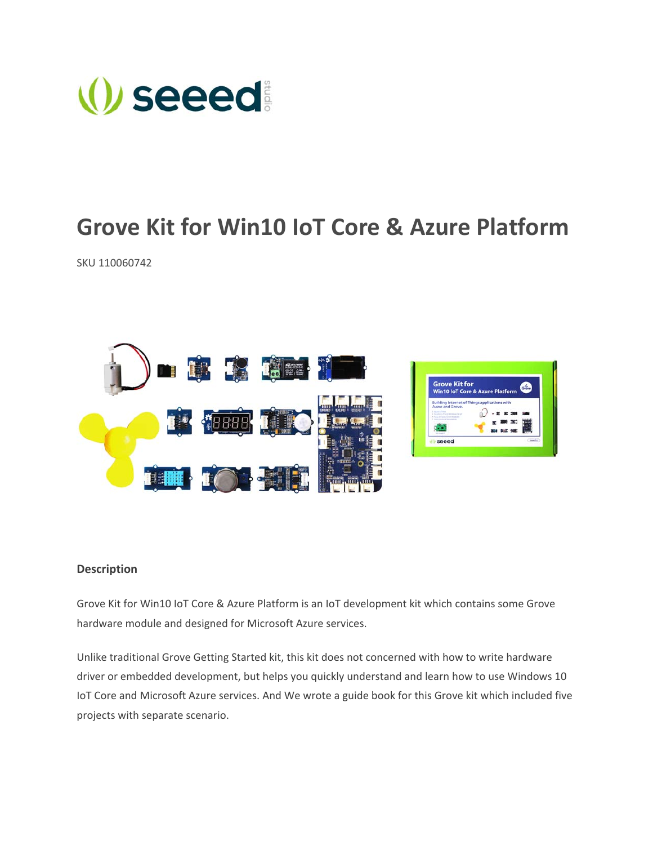

# **Grove Kit for Win10 IoT Core & Azure Platform**

SKU 110060742



## **Description**

Grove Kit for Win10 IoT Core & Azure Platform is an IoT development kit which contains some Grove hardware module and designed for Microsoft Azure services.

Unlike traditional Grove Getting Started kit, this kit does not concerned with how to write hardware driver or embedded development, but helps you quickly understand and learn how to use Windows 10 IoT Core and Microsoft Azure services. And We wrote a guide book for this Grove kit which included five projects with separate scenario.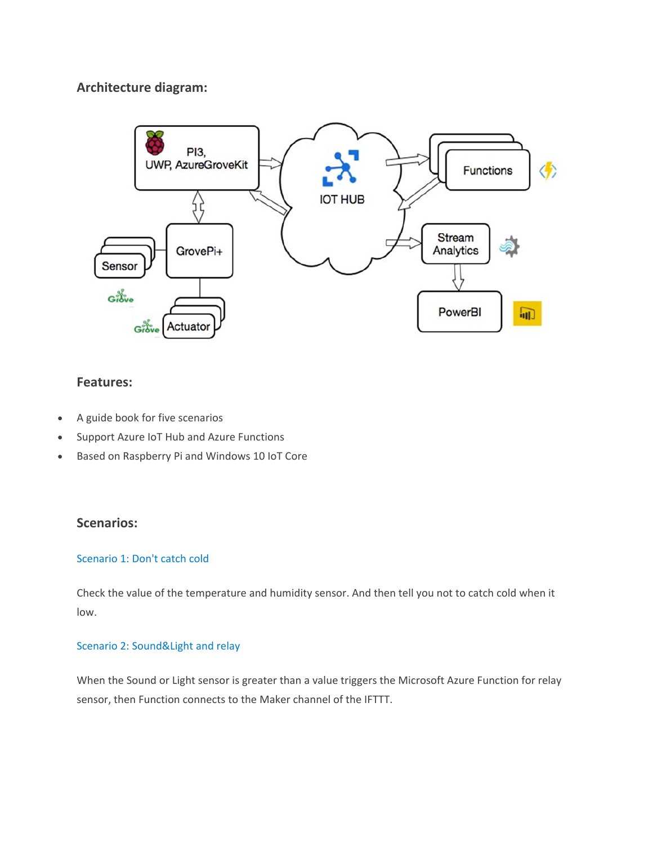# **Architecture diagram:**



# **Features:**

- A guide book for five scenarios
- Support Azure IoT Hub and Azure Functions
- Based on Raspberry Pi and Windows 10 IoT Core

# **Scenarios:**

#### Scenario 1: Don't catch cold

Check the value of the temperature and humidity sensor. And then tell you not to catch cold when it low.

## Scenario 2: Sound&Light and relay

When the Sound or Light sensor is greater than a value triggers the Microsoft Azure Function for relay sensor, then Function connects to the Maker channel of the IFTTT.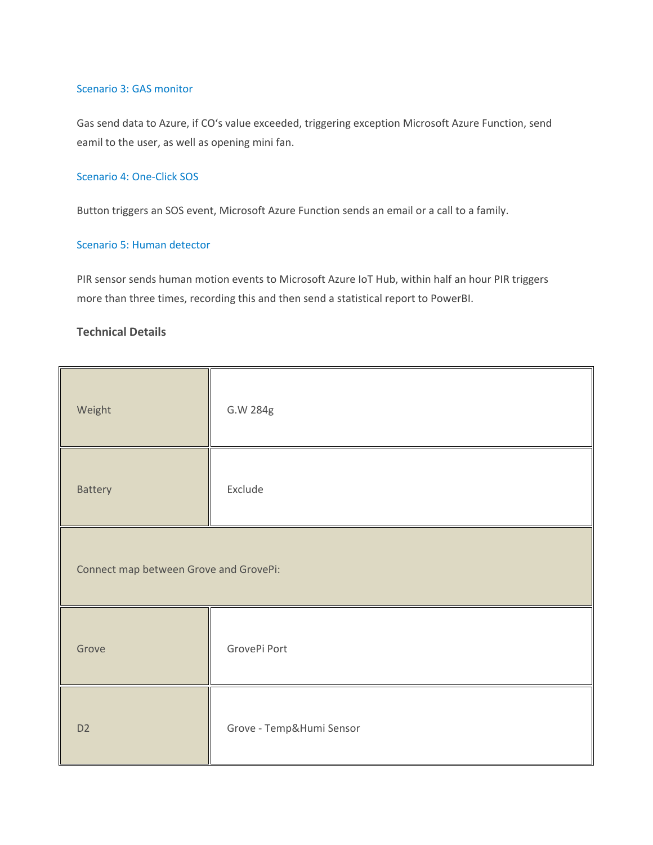#### Scenario 3: GAS monitor

Gas send data to Azure, if CO's value exceeded, triggering exception Microsoft Azure Function, send eamil to the user, as well as opening mini fan.

### Scenario 4: One‐Click SOS

Button triggers an SOS event, Microsoft Azure Function sends an email or a call to a family.

#### Scenario 5: Human detector

PIR sensor sends human motion events to Microsoft Azure IoT Hub, within half an hour PIR triggers more than three times, recording this and then send a statistical report to PowerBI.

## **Technical Details**

| Weight                                 | G.W 284g                 |  |
|----------------------------------------|--------------------------|--|
| Battery                                | Exclude                  |  |
| Connect map between Grove and GrovePi: |                          |  |
| Grove                                  | GrovePi Port             |  |
| D <sub>2</sub>                         | Grove - Temp&Humi Sensor |  |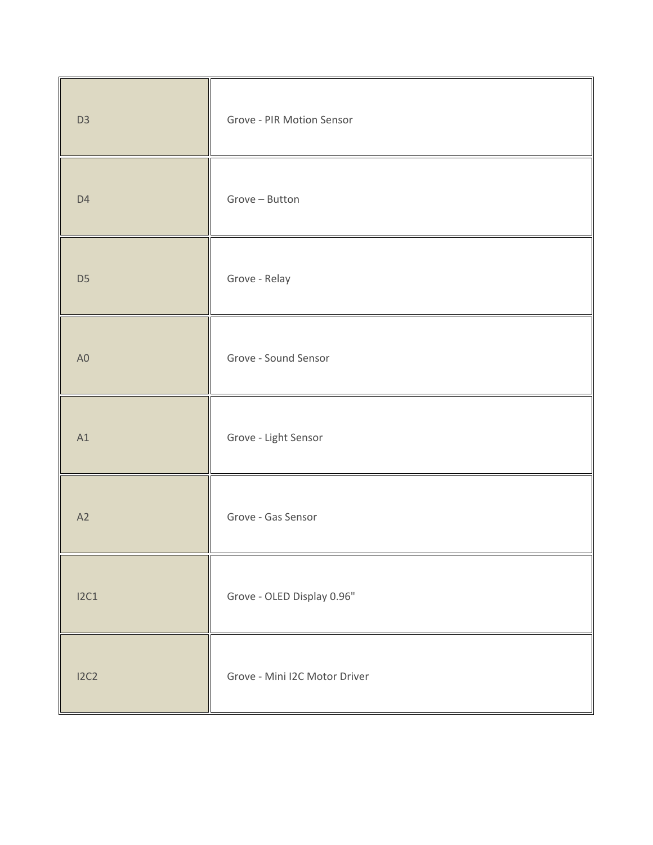| D <sub>3</sub> | Grove - PIR Motion Sensor     |
|----------------|-------------------------------|
| D <sub>4</sub> | Grove - Button                |
| D <sub>5</sub> | Grove - Relay                 |
| A <sub>0</sub> | Grove - Sound Sensor          |
| A1             | Grove - Light Sensor          |
| A2             | Grove - Gas Sensor            |
| 12C1           | Grove - OLED Display 0.96"    |
| I2C2           | Grove - Mini I2C Motor Driver |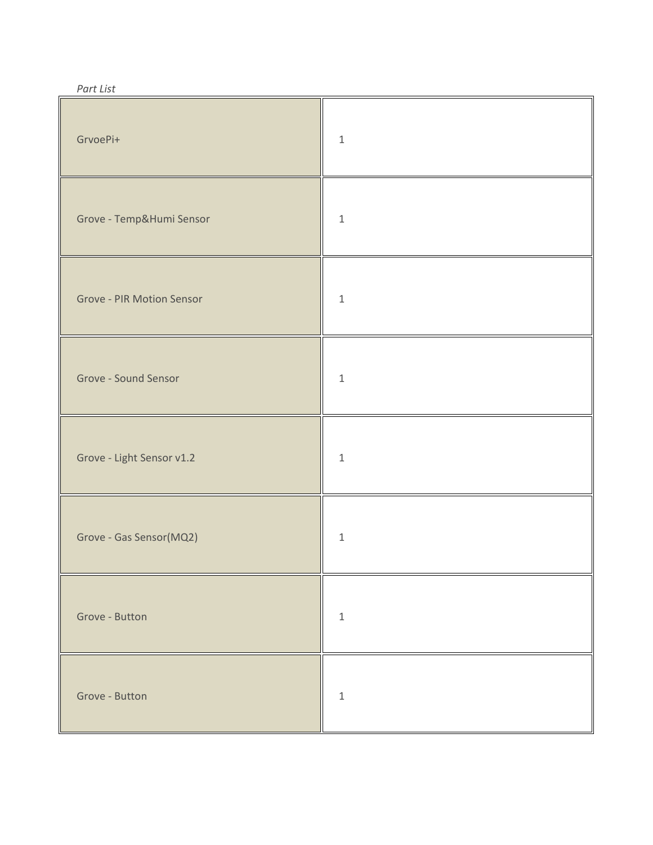| GrvoePi+                         | $\,1\,$     |
|----------------------------------|-------------|
| Grove - Temp&Humi Sensor         | $\,1\,$     |
| <b>Grove - PIR Motion Sensor</b> | $\,1\,$     |
| Grove - Sound Sensor             | $\mathbf 1$ |
| Grove - Light Sensor v1.2        | $\mathbf 1$ |
| Grove - Gas Sensor(MQ2)          | $\,1\,$     |
| Grove - Button                   | $\,1\,$     |
| Grove - Button                   | $\,1\,$     |